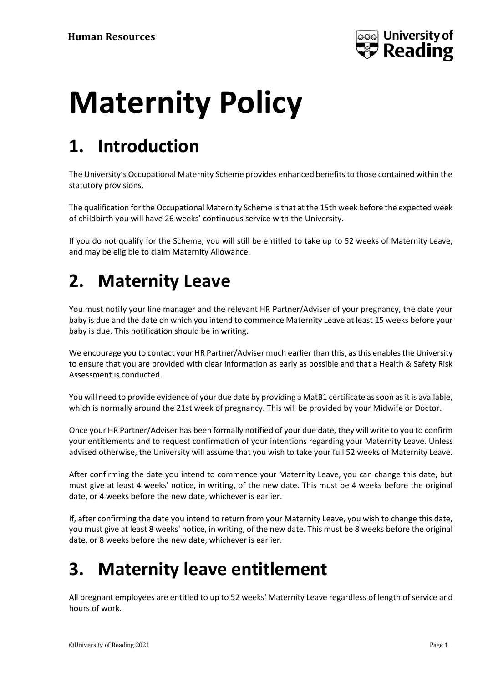

# **Maternity Policy**

# **1. Introduction**

The University's Occupational Maternity Scheme provides enhanced benefits to those contained within the statutory provisions.

The qualification for the Occupational Maternity Scheme is that at the 15th week before the expected week of childbirth you will have 26 weeks' continuous service with the University.

If you do not qualify for the Scheme, you will still be entitled to take up to 52 weeks of Maternity Leave, and may be eligible to claim Maternity Allowance.

## **2. Maternity Leave**

You must notify your line manager and the relevant HR Partner/Adviser of your pregnancy, the date your baby is due and the date on which you intend to commence Maternity Leave at least 15 weeks before your baby is due. This notification should be in writing.

We encourage you to contact your HR Partner/Adviser much earlier than this, as this enables the University to ensure that you are provided with clear information as early as possible and that a Health & Safety Risk Assessment is conducted.

You will need to provide evidence of your due date by providing a MatB1 certificate as soon as it is available, which is normally around the 21st week of pregnancy. This will be provided by your Midwife or Doctor.

Once your HR Partner/Adviser has been formally notified of your due date, they will write to you to confirm your entitlements and to request confirmation of your intentions regarding your Maternity Leave. Unless advised otherwise, the University will assume that you wish to take your full 52 weeks of Maternity Leave.

After confirming the date you intend to commence your Maternity Leave, you can change this date, but must give at least 4 weeks' notice, in writing, of the new date. This must be 4 weeks before the original date, or 4 weeks before the new date, whichever is earlier.

If, after confirming the date you intend to return from your Maternity Leave, you wish to change this date, you must give at least 8 weeks' notice, in writing, of the new date. This must be 8 weeks before the original date, or 8 weeks before the new date, whichever is earlier.

# **3. Maternity leave entitlement**

All pregnant employees are entitled to up to 52 weeks' Maternity Leave regardless of length of service and hours of work.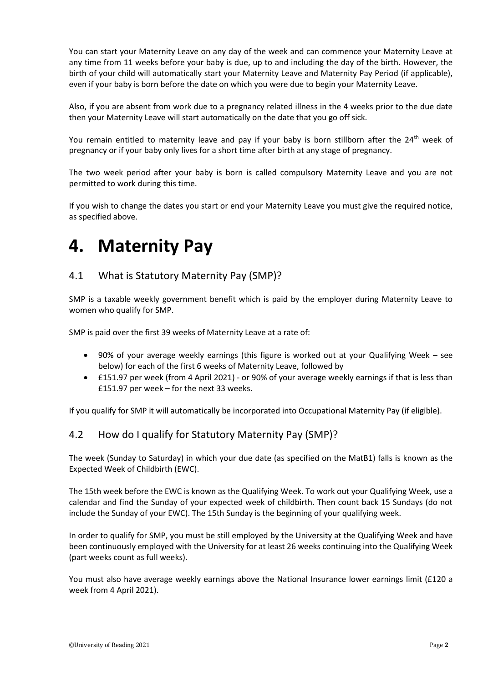You can start your Maternity Leave on any day of the week and can commence your Maternity Leave at any time from 11 weeks before your baby is due, up to and including the day of the birth. However, the birth of your child will automatically start your Maternity Leave and Maternity Pay Period (if applicable), even if your baby is born before the date on which you were due to begin your Maternity Leave.

Also, if you are absent from work due to a pregnancy related illness in the 4 weeks prior to the due date then your Maternity Leave will start automatically on the date that you go off sick.

You remain entitled to maternity leave and pay if your baby is born stillborn after the 24<sup>th</sup> week of pregnancy or if your baby only lives for a short time after birth at any stage of pregnancy.

The two week period after your baby is born is called compulsory Maternity Leave and you are not permitted to work during this time.

If you wish to change the dates you start or end your Maternity Leave you must give the required notice, as specified above.

### **4. Maternity Pay**

#### 4.1 What is Statutory Maternity Pay (SMP)?

SMP is a taxable weekly government benefit which is paid by the employer during Maternity Leave to women who qualify for SMP.

SMP is paid over the first 39 weeks of Maternity Leave at a rate of:

- 90% of your average weekly earnings (this figure is worked out at your Qualifying Week see below) for each of the first 6 weeks of Maternity Leave, followed by
- £151.97 per week (from 4 April 2021) or 90% of your average weekly earnings if that is less than £151.97 per week – for the next 33 weeks.

If you qualify for SMP it will automatically be incorporated into Occupational Maternity Pay (if eligible).

#### 4.2 How do I qualify for Statutory Maternity Pay (SMP)?

The week (Sunday to Saturday) in which your due date (as specified on the MatB1) falls is known as the Expected Week of Childbirth (EWC).

The 15th week before the EWC is known as the Qualifying Week. To work out your Qualifying Week, use a calendar and find the Sunday of your expected week of childbirth. Then count back 15 Sundays (do not include the Sunday of your EWC). The 15th Sunday is the beginning of your qualifying week.

In order to qualify for SMP, you must be still employed by the University at the Qualifying Week and have been continuously employed with the University for at least 26 weeks continuing into the Qualifying Week (part weeks count as full weeks).

You must also have average weekly earnings above the National Insurance lower earnings limit (£120 a week from 4 April 2021).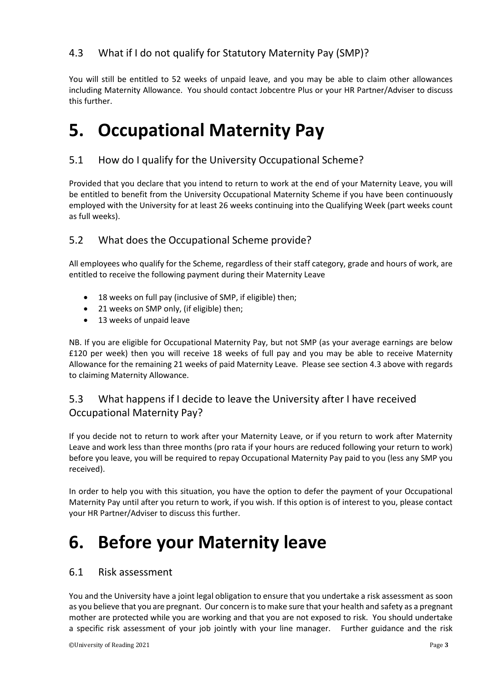#### 4.3 What if I do not qualify for Statutory Maternity Pay (SMP)?

You will still be entitled to 52 weeks of unpaid leave, and you may be able to claim other allowances including Maternity Allowance. You should contact Jobcentre Plus or your HR Partner/Adviser to discuss this further.

### **5. Occupational Maternity Pay**

#### 5.1 How do I qualify for the University Occupational Scheme?

Provided that you declare that you intend to return to work at the end of your Maternity Leave, you will be entitled to benefit from the University Occupational Maternity Scheme if you have been continuously employed with the University for at least 26 weeks continuing into the Qualifying Week (part weeks count as full weeks).

#### 5.2 What does the Occupational Scheme provide?

All employees who qualify for the Scheme, regardless of their staff category, grade and hours of work, are entitled to receive the following payment during their Maternity Leave

- 18 weeks on full pay (inclusive of SMP, if eligible) then;
- 21 weeks on SMP only, (if eligible) then;
- 13 weeks of unpaid leave

NB. If you are eligible for Occupational Maternity Pay, but not SMP (as your average earnings are below £120 per week) then you will receive 18 weeks of full pay and you may be able to receive Maternity Allowance for the remaining 21 weeks of paid Maternity Leave. Please see section 4.3 above with regards to claiming Maternity Allowance.

#### 5.3 What happens if I decide to leave the University after I have received Occupational Maternity Pay?

If you decide not to return to work after your Maternity Leave, or if you return to work after Maternity Leave and work less than three months (pro rata if your hours are reduced following your return to work) before you leave, you will be required to repay Occupational Maternity Pay paid to you (less any SMP you received).

In order to help you with this situation, you have the option to defer the payment of your Occupational Maternity Pay until after you return to work, if you wish. If this option is of interest to you, please contact your HR Partner/Adviser to discuss this further.

### **6. Before your Maternity leave**

#### 6.1 Risk assessment

You and the University have a joint legal obligation to ensure that you undertake a risk assessment as soon as you believe that you are pregnant. Our concern is to make sure that your health and safety as a pregnant mother are protected while you are working and that you are not exposed to risk. You should undertake a specific risk assessment of your job jointly with your line manager. Further guidance and the risk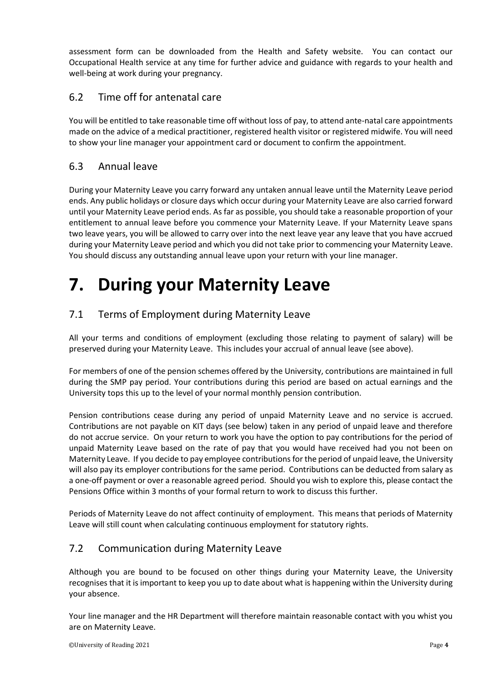assessment form can be downloaded from the Health and Safety website. You can contact our Occupational Health service at any time for further advice and guidance with regards to your health and well-being at work during your pregnancy.

#### 6.2 Time off for antenatal care

You will be entitled to take reasonable time off without loss of pay, to attend ante-natal care appointments made on the advice of a medical practitioner, registered health visitor or registered midwife. You will need to show your line manager your appointment card or document to confirm the appointment.

#### 6.3 Annual leave

During your Maternity Leave you carry forward any untaken annual leave until the Maternity Leave period ends. Any public holidays or closure days which occur during your Maternity Leave are also carried forward until your Maternity Leave period ends. As far as possible, you should take a reasonable proportion of your entitlement to annual leave before you commence your Maternity Leave. If your Maternity Leave spans two leave years, you will be allowed to carry over into the next leave year any leave that you have accrued during your Maternity Leave period and which you did not take prior to commencing your Maternity Leave. You should discuss any outstanding annual leave upon your return with your line manager.

# **7. During your Maternity Leave**

#### 7.1 Terms of Employment during Maternity Leave

All your terms and conditions of employment (excluding those relating to payment of salary) will be preserved during your Maternity Leave. This includes your accrual of annual leave (see above).

For members of one of the pension schemes offered by the University, contributions are maintained in full during the SMP pay period. Your contributions during this period are based on actual earnings and the University tops this up to the level of your normal monthly pension contribution.

Pension contributions cease during any period of unpaid Maternity Leave and no service is accrued. Contributions are not payable on KIT days (see below) taken in any period of unpaid leave and therefore do not accrue service. On your return to work you have the option to pay contributions for the period of unpaid Maternity Leave based on the rate of pay that you would have received had you not been on Maternity Leave. If you decide to pay employee contributions for the period of unpaid leave, the University will also pay its employer contributions for the same period. Contributions can be deducted from salary as a one-off payment or over a reasonable agreed period. Should you wish to explore this, please contact the Pensions Office within 3 months of your formal return to work to discuss this further.

Periods of Maternity Leave do not affect continuity of employment. This means that periods of Maternity Leave will still count when calculating continuous employment for statutory rights.

#### 7.2 Communication during Maternity Leave

Although you are bound to be focused on other things during your Maternity Leave, the University recognises that it is important to keep you up to date about what is happening within the University during your absence.

Your line manager and the HR Department will therefore maintain reasonable contact with you whist you are on Maternity Leave.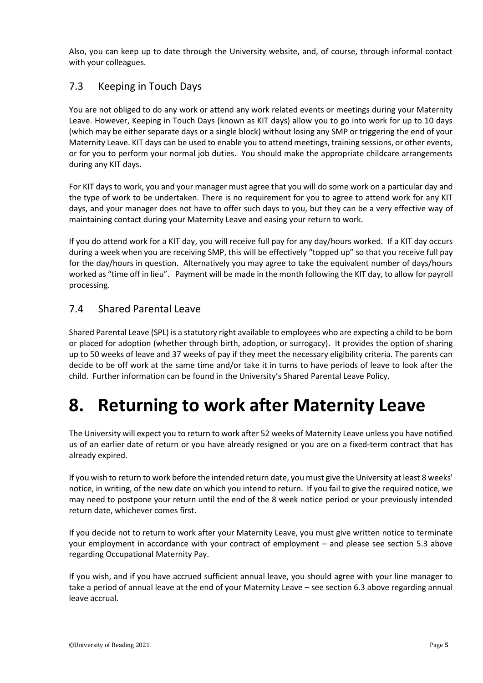Also, you can keep up to date through the University website, and, of course, through informal contact with your colleagues.

#### 7.3 Keeping in Touch Days

You are not obliged to do any work or attend any work related events or meetings during your Maternity Leave. However, Keeping in Touch Days (known as KIT days) allow you to go into work for up to 10 days (which may be either separate days or a single block) without losing any SMP or triggering the end of your Maternity Leave. KIT days can be used to enable you to attend meetings, training sessions, or other events, or for you to perform your normal job duties. You should make the appropriate childcare arrangements during any KIT days.

For KIT days to work, you and your manager must agree that you will do some work on a particular day and the type of work to be undertaken. There is no requirement for you to agree to attend work for any KIT days, and your manager does not have to offer such days to you, but they can be a very effective way of maintaining contact during your Maternity Leave and easing your return to work.

If you do attend work for a KIT day, you will receive full pay for any day/hours worked. If a KIT day occurs during a week when you are receiving SMP, this will be effectively "topped up" so that you receive full pay for the day/hours in question. Alternatively you may agree to take the equivalent number of days/hours worked as "time off in lieu". Payment will be made in the month following the KIT day, to allow for payroll processing.

#### 7.4 Shared Parental Leave

Shared Parental Leave (SPL) is a statutory right available to employees who are expecting a child to be born or placed for adoption (whether through birth, adoption, or surrogacy). It provides the option of sharing up to 50 weeks of leave and 37 weeks of pay if they meet the necessary eligibility criteria. The parents can decide to be off work at the same time and/or take it in turns to have periods of leave to look after the child. Further information can be found in the University's Shared Parental Leave Policy.

### **8. Returning to work after Maternity Leave**

The University will expect you to return to work after 52 weeks of Maternity Leave unless you have notified us of an earlier date of return or you have already resigned or you are on a fixed-term contract that has already expired.

If you wish to return to work before the intended return date, you must give the University at least 8 weeks' notice, in writing, of the new date on which you intend to return. If you fail to give the required notice, we may need to postpone your return until the end of the 8 week notice period or your previously intended return date, whichever comes first.

If you decide not to return to work after your Maternity Leave, you must give written notice to terminate your employment in accordance with your contract of employment – and please see section 5.3 above regarding Occupational Maternity Pay.

If you wish, and if you have accrued sufficient annual leave, you should agree with your line manager to take a period of annual leave at the end of your Maternity Leave – see section 6.3 above regarding annual leave accrual.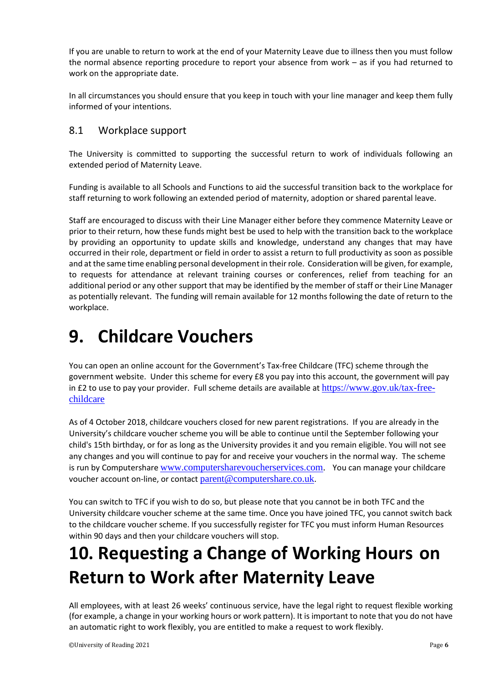If you are unable to return to work at the end of your Maternity Leave due to illness then you must follow the normal absence reporting procedure to report your absence from work – as if you had returned to work on the appropriate date.

In all circumstances you should ensure that you keep in touch with your line manager and keep them fully informed of your intentions.

#### 8.1 Workplace support

The University is committed to supporting the successful return to work of individuals following an extended period of Maternity Leave.

Funding is available to all Schools and Functions to aid the successful transition back to the workplace for staff returning to work following an extended period of maternity, adoption or shared parental leave.

Staff are encouraged to discuss with their Line Manager either before they commence Maternity Leave or prior to their return, how these funds might best be used to help with the transition back to the workplace by providing an opportunity to update skills and knowledge, understand any changes that may have occurred in their role, department or field in order to assist a return to full productivity as soon as possible and at the same time enabling personal development in their role. Consideration will be given, for example, to requests for attendance at relevant training courses or conferences, relief from teaching for an additional period or any other support that may be identified by the member of staff or their Line Manager as potentially relevant. The funding will remain available for 12 months following the date of return to the workplace.

## **9. Childcare Vouchers**

You can open an online account for the Government's Tax-free Childcare (TFC) scheme through the government website. Under this scheme for every £8 you pay into this account, the government will pay in £2 to use to pay your provider. Full scheme details are available at  $\frac{https://www.gov.uk/tax-free-}{https://www.gov.uk/tax-free-}$ [childcare](https://www.gov.uk/tax-free-childcare)

As of 4 October 2018, childcare vouchers closed for new parent registrations. If you are already in the University's childcare voucher scheme you will be able to continue until the September following your child's 15th birthday, or for as long as the University provides it and you remain eligible. You will not see any changes and you will continue to pay for and receive your vouchers in the normal way. The scheme is run by Computershare [www.computersharevoucherservices.com.](http://www.computersharevoucherservices.com/) You can manage your childcare voucher account on-line, or contact [parent@computershare.co.uk](mailto:parent@computershare.co.uk).

You can switch to TFC if you wish to do so, but please note that you cannot be in both TFC and the University childcare voucher scheme at the same time. Once you have joined TFC, you cannot switch back to the childcare voucher scheme. If you successfully register for TFC you must inform Human Resources within 90 days and then your childcare vouchers will stop.

# **10. Requesting a Change of Working Hours on Return to Work after Maternity Leave**

All employees, with at least 26 weeks' continuous service, have the legal right to request flexible working (for example, a change in your working hours or work pattern). It is important to note that you do not have an automatic right to work flexibly, you are entitled to make a request to work flexibly.